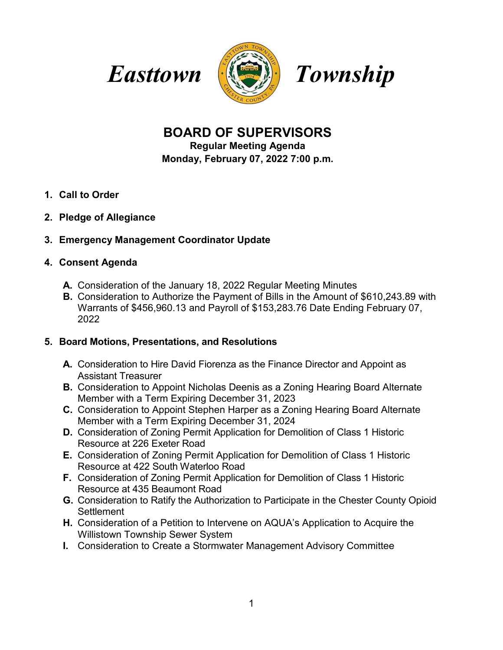



# **BOARD OF SUPERVISORS**

**Regular Meeting Agenda**

**Monday, February 07, 2022 7:00 p.m.**

- **1. Call to Order**
- **2. Pledge of Allegiance**

## **3. Emergency Management Coordinator Update**

## **4. Consent Agenda**

- **A.** Consideration of the January 18, 2022 Regular Meeting Minutes
- **B.** Consideration to Authorize the Payment of Bills in the Amount of \$610,243.89 with Warrants of \$456,960.13 and Payroll of \$153,283.76 Date Ending February 07, 2022

## **5. Board Motions, Presentations, and Resolutions**

- **A.** Consideration to Hire David Fiorenza as the Finance Director and Appoint as Assistant Treasurer
- **B.** Consideration to Appoint Nicholas Deenis as a Zoning Hearing Board Alternate Member with a Term Expiring December 31, 2023
- **C.** Consideration to Appoint Stephen Harper as a Zoning Hearing Board Alternate Member with a Term Expiring December 31, 2024
- **D.** Consideration of Zoning Permit Application for Demolition of Class 1 Historic Resource at 226 Exeter Road
- **E.** Consideration of Zoning Permit Application for Demolition of Class 1 Historic Resource at 422 South Waterloo Road
- **F.** Consideration of Zoning Permit Application for Demolition of Class 1 Historic Resource at 435 Beaumont Road
- **G.** Consideration to Ratify the Authorization to Participate in the Chester County Opioid **Settlement**
- **H.** Consideration of a Petition to Intervene on AQUA's Application to Acquire the Willistown Township Sewer System
- **I.** Consideration to Create a Stormwater Management Advisory Committee